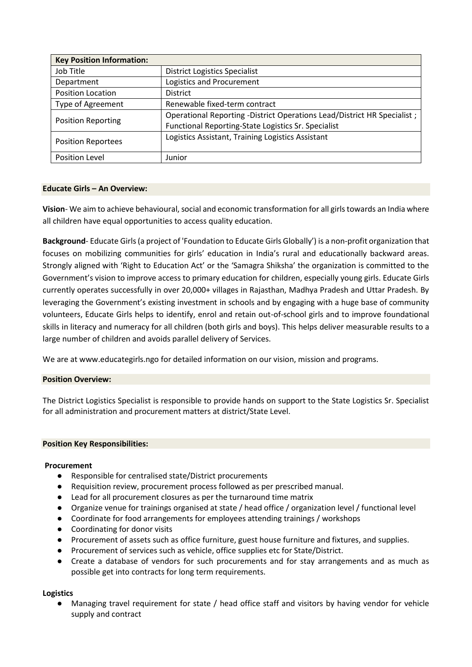| <b>Key Position Information:</b> |                                                                         |  |  |
|----------------------------------|-------------------------------------------------------------------------|--|--|
| Job Title                        | <b>District Logistics Specialist</b>                                    |  |  |
| Department                       | Logistics and Procurement                                               |  |  |
| <b>Position Location</b>         | <b>District</b>                                                         |  |  |
| <b>Type of Agreement</b>         | Renewable fixed-term contract                                           |  |  |
| <b>Position Reporting</b>        | Operational Reporting -District Operations Lead/District HR Specialist; |  |  |
|                                  | Functional Reporting-State Logistics Sr. Specialist                     |  |  |
| <b>Position Reportees</b>        | Logistics Assistant, Training Logistics Assistant                       |  |  |
| Position Level                   | Junior                                                                  |  |  |

# **Educate Girls – An Overview:**

**Vision**- We aim to achieve behavioural, social and economic transformation for all girls towards an India where all children have equal opportunities to access quality education.

**Background**- Educate Girls (a project of 'Foundation to Educate Girls Globally') is a non-profit organization that focuses on mobilizing communities for girls' education in India's rural and educationally backward areas. Strongly aligned with 'Right to Education Act' or the 'Samagra Shiksha' the organization is committed to the Government's vision to improve access to primary education for children, especially young girls. Educate Girls currently operates successfully in over 20,000+ villages in Rajasthan, Madhya Pradesh and Uttar Pradesh. By leveraging the Government's existing investment in schools and by engaging with a huge base of community volunteers, Educate Girls helps to identify, enrol and retain out-of-school girls and to improve foundational skills in literacy and numeracy for all children (both girls and boys). This helps deliver measurable results to a large number of children and avoids parallel delivery of Services.

We are at www.educategirls.ngo for detailed information on our vision, mission and programs.

# **Position Overview:**

The District Logistics Specialist is responsible to provide hands on support to the State Logistics Sr. Specialist for all administration and procurement matters at district/State Level.

#### **Position Key Responsibilities:**

#### **Procurement**

- Responsible for centralised state/District procurements
- Requisition review, procurement process followed as per prescribed manual.
- Lead for all procurement closures as per the turnaround time matrix
- Organize venue for trainings organised at state / head office / organization level / functional level
- Coordinate for food arrangements for employees attending trainings / workshops
- Coordinating for donor visits
- Procurement of assets such as office furniture, guest house furniture and fixtures, and supplies.
- Procurement of services such as vehicle, office supplies etc for State/District.
- Create a database of vendors for such procurements and for stay arrangements and as much as possible get into contracts for long term requirements.

# **Logistics**

Managing travel requirement for state / head office staff and visitors by having vendor for vehicle supply and contract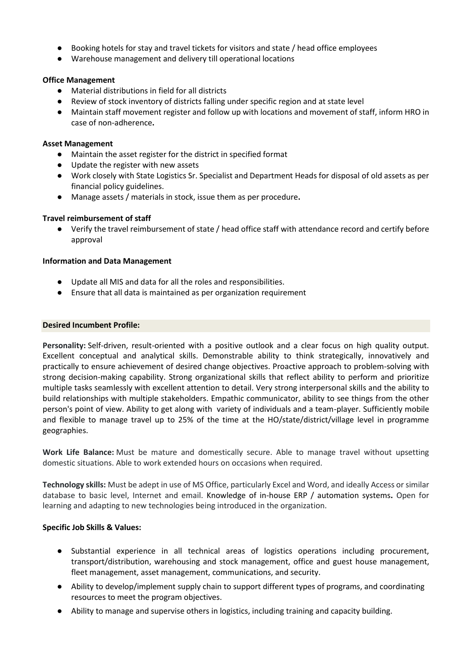- Booking hotels for stay and travel tickets for visitors and state / head office employees
- Warehouse management and delivery till operational locations

# **Office Management**

- Material distributions in field for all districts
- Review of stock inventory of districts falling under specific region and at state level
- Maintain staff movement register and follow up with locations and movement of staff, inform HRO in case of non-adherence**.**

### **Asset Management**

- Maintain the asset register for the district in specified format
- Update the register with new assets
- Work closely with State Logistics Sr. Specialist and Department Heads for disposal of old assets as per financial policy guidelines.
- Manage assets / materials in stock, issue them as per procedure**.**

# **Travel reimbursement of staff**

● Verify the travel reimbursement of state / head office staff with attendance record and certify before approval

### **Information and Data Management**

- Update all MIS and data for all the roles and responsibilities.
- Ensure that all data is maintained as per organization requirement

### **Desired Incumbent Profile:**

**Personality:** Self-driven, result-oriented with a positive outlook and a clear focus on high quality output. Excellent conceptual and analytical skills. Demonstrable ability to think strategically, innovatively and practically to ensure achievement of desired change objectives. Proactive approach to problem-solving with strong decision-making capability. Strong organizational skills that reflect ability to perform and prioritize multiple tasks seamlessly with excellent attention to detail. Very strong interpersonal skills and the ability to build relationships with multiple stakeholders. Empathic communicator, ability to see things from the other person's point of view. Ability to get along with variety of individuals and a team-player. Sufficiently mobile and flexible to manage travel up to 25% of the time at the HO/state/district/village level in programme geographies.

**Work Life Balance:** Must be mature and domestically secure. Able to manage travel without upsetting domestic situations. Able to work extended hours on occasions when required.

**Technology skills:** Must be adept in use of MS Office, particularly Excel and Word, and ideally Access or similar database to basic level, Internet and email. Knowledge of in-house ERP / automation systems**.** Open for learning and adapting to new technologies being introduced in the organization.

# **Specific Job Skills & Values:**

- Substantial experience in all technical areas of logistics operations including procurement, transport/distribution, warehousing and stock management, office and guest house management, fleet management, asset management, communications, and security.
- Ability to develop/implement supply chain to support different types of programs, and coordinating resources to meet the program objectives.
- Ability to manage and supervise others in logistics, including training and capacity building.